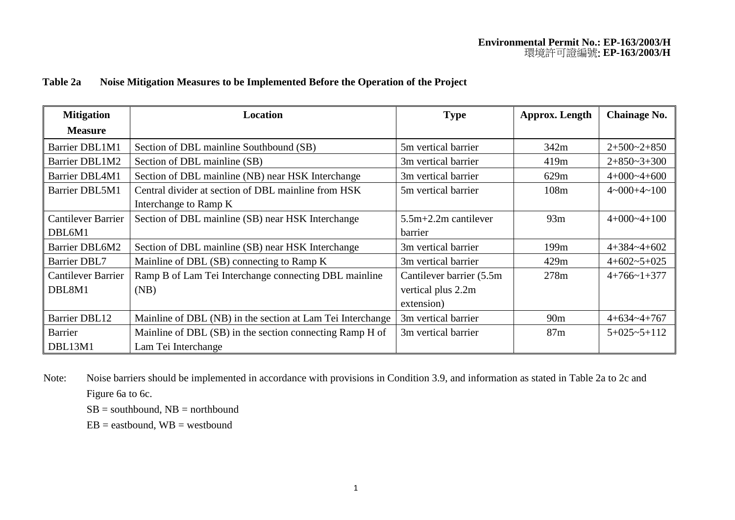## **Table 2a Noise Mitigation Measures to be Implemented Before the Operation of the Project**

| <b>Mitigation</b>         | Location                                                   | <b>Type</b>               | <b>Approx.</b> Length | <b>Chainage No.</b>           |
|---------------------------|------------------------------------------------------------|---------------------------|-----------------------|-------------------------------|
| <b>Measure</b>            |                                                            |                           |                       |                               |
| <b>Barrier DBL1M1</b>     | Section of DBL mainline Southbound (SB)                    | 5m vertical barrier       | 342m                  | $2+500-2+850$                 |
| <b>Barrier DBL1M2</b>     | Section of DBL mainline (SB)                               | 3m vertical barrier       | 419m                  | $2+850-3+300$                 |
| Barrier DBL4M1            | Section of DBL mainline (NB) near HSK Interchange          | 3m vertical barrier       | 629m                  | $4+000-4+600$                 |
| <b>Barrier DBL5M1</b>     | Central divider at section of DBL mainline from HSK        | 5m vertical barrier       | 108m                  | $4 \times 000 + 4 \times 100$ |
|                           | Interchange to Ramp K                                      |                           |                       |                               |
| <b>Cantilever Barrier</b> | Section of DBL mainline (SB) near HSK Interchange          | $5.5m+2.2m$ cantilever    | 93m                   | $4+000-4+100$                 |
| DBL6M1                    |                                                            | <b>barrier</b>            |                       |                               |
| Barrier DBL6M2            | Section of DBL mainline (SB) near HSK Interchange          | 3m vertical barrier       | 199m                  | $4+384-4+602$                 |
| <b>Barrier DBL7</b>       | Mainline of DBL (SB) connecting to Ramp K                  | 3m vertical barrier       | 429m                  | $4+602-5+025$                 |
| <b>Cantilever Barrier</b> | Ramp B of Lam Tei Interchange connecting DBL mainline      | Cantilever barrier (5.5m) | 278m                  | $4+766-1+377$                 |
| DBL8M1                    | (NB)                                                       | vertical plus 2.2m        |                       |                               |
|                           |                                                            | extension)                |                       |                               |
| <b>Barrier DBL12</b>      | Mainline of DBL (NB) in the section at Lam Tei Interchange | 3m vertical barrier       | 90 <sub>m</sub>       | $4+634-4+767$                 |
| Barrier                   | Mainline of DBL (SB) in the section connecting Ramp H of   | 3m vertical barrier       | 87m                   | $5+025-5+112$                 |
| DBL13M1                   | Lam Tei Interchange                                        |                           |                       |                               |

Note: Noise barriers should be implemented in accordance with provisions in Condition 3.9, and information as stated in Table 2a to 2c and Figure 6a to 6c.

 $SB =$  southbound,  $NB =$  northbound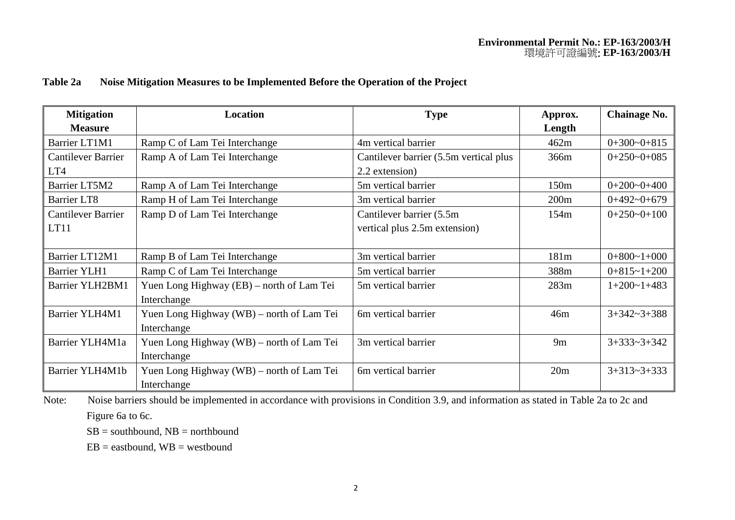## **Table 2a Noise Mitigation Measures to be Implemented Before the Operation of the Project**

| <b>Mitigation</b>         | <b>Location</b>                           | <b>Type</b>                            | Approx.          | <b>Chainage No.</b> |
|---------------------------|-------------------------------------------|----------------------------------------|------------------|---------------------|
| <b>Measure</b>            |                                           |                                        | Length           |                     |
| Barrier LT1M1             | Ramp C of Lam Tei Interchange             | 4m vertical barrier                    | 462m             | $0+300-0+815$       |
| <b>Cantilever Barrier</b> | Ramp A of Lam Tei Interchange             | Cantilever barrier (5.5m vertical plus | 366m             | $0+250-0+085$       |
| LT4                       |                                           | 2.2 extension)                         |                  |                     |
| Barrier LT5M2             | Ramp A of Lam Tei Interchange             | 5m vertical barrier                    | 150m             | $0+200-0+400$       |
| <b>Barrier LT8</b>        | Ramp H of Lam Tei Interchange             | 3m vertical barrier                    | 200m             | $0+492-0+679$       |
| <b>Cantilever Barrier</b> | Ramp D of Lam Tei Interchange             | Cantilever barrier (5.5m)              | 154 <sub>m</sub> | $0+250-0+100$       |
| LT11                      |                                           | vertical plus 2.5m extension)          |                  |                     |
|                           |                                           |                                        |                  |                     |
| Barrier LT12M1            | Ramp B of Lam Tei Interchange             | 3m vertical barrier                    | 181m             | $0+800-1+000$       |
| <b>Barrier YLH1</b>       | Ramp C of Lam Tei Interchange             | 5m vertical barrier                    | 388m             | $0+815-1+200$       |
| Barrier YLH2BM1           | Yuen Long Highway (EB) – north of Lam Tei | 5m vertical barrier                    | 283m             | $1+200-1+483$       |
|                           | Interchange                               |                                        |                  |                     |
| Barrier YLH4M1            | Yuen Long Highway (WB) – north of Lam Tei | 6m vertical barrier                    | 46m              | $3+342-3+388$       |
|                           | Interchange                               |                                        |                  |                     |
| Barrier YLH4M1a           | Yuen Long Highway (WB) – north of Lam Tei | 3m vertical barrier                    | 9m               | $3+333-3+342$       |
|                           | Interchange                               |                                        |                  |                     |
| Barrier YLH4M1b           | Yuen Long Highway (WB) – north of Lam Tei | 6m vertical barrier                    | 20m              | $3+313-3+333$       |
|                           | Interchange                               |                                        |                  |                     |

Note: Noise barriers should be implemented in accordance with provisions in Condition 3.9, and information as stated in Table 2a to 2c and Figure 6a to 6c.

 $SB = southbound, NB = northbound$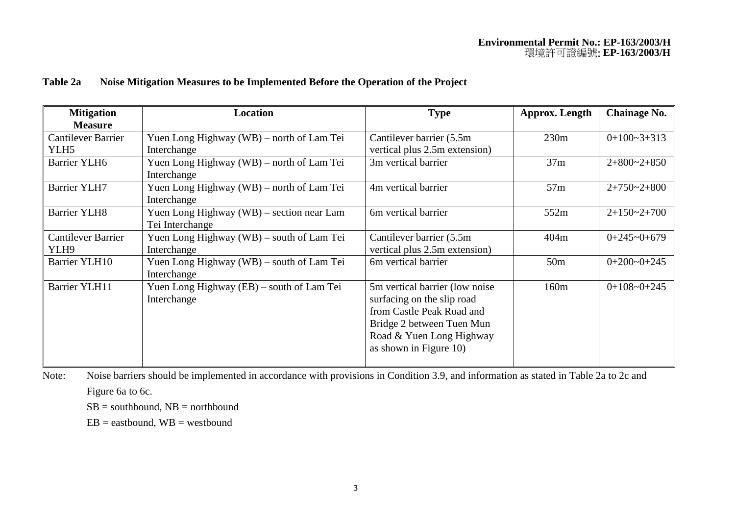## **Table 2a Noise Mitigation Measures to be Implemented Before the Operation of the Project**

| <b>Mitigation</b><br><b>Measure</b>           | Location                                                     | <b>Type</b>                                                                                                                                                                   | Approx. Length   | <b>Chainage No.</b> |
|-----------------------------------------------|--------------------------------------------------------------|-------------------------------------------------------------------------------------------------------------------------------------------------------------------------------|------------------|---------------------|
| <b>Cantilever Barrier</b><br>YLH <sub>5</sub> | Yuen Long Highway (WB) – north of Lam Tei<br>Interchange     | Cantilever barrier (5.5m)<br>vertical plus 2.5m extension)                                                                                                                    | 230m             | $0+100-3+313$       |
| <b>Barrier YLH6</b>                           | Yuen Long Highway (WB) – north of Lam Tei<br>Interchange     | 3m vertical barrier                                                                                                                                                           | 37m              | $2+800-2+850$       |
| <b>Barrier YLH7</b>                           | Yuen Long Highway (WB) – north of Lam Tei<br>Interchange     | 4m vertical barrier                                                                                                                                                           | 57m              | $2+750-2+800$       |
| <b>Barrier YLH8</b>                           | Yuen Long Highway (WB) – section near Lam<br>Tei Interchange | 6m vertical barrier                                                                                                                                                           | 552m             | $2+150-2+700$       |
| <b>Cantilever Barrier</b><br>YLH9             | Yuen Long Highway (WB) – south of Lam Tei<br>Interchange     | Cantilever barrier (5.5m<br>vertical plus 2.5m extension)                                                                                                                     | 404m             | $0+245-0+679$       |
| Barrier YLH10                                 | Yuen Long Highway (WB) – south of Lam Tei<br>Interchange     | 6m vertical barrier                                                                                                                                                           | 50 <sub>m</sub>  | $0+200-0+245$       |
| <b>Barrier YLH11</b>                          | Yuen Long Highway (EB) – south of Lam Tei<br>Interchange     | 5m vertical barrier (low noise)<br>surfacing on the slip road<br>from Castle Peak Road and<br>Bridge 2 between Tuen Mun<br>Road & Yuen Long Highway<br>as shown in Figure 10) | 160 <sub>m</sub> | $0+108-0+245$       |

Note: Noise barriers should be implemented in accordance with provisions in Condition 3.9, and information as stated in Table 2a to 2c and

Figure 6a to 6c.

 $SB =$  southbound,  $NB =$  northbound